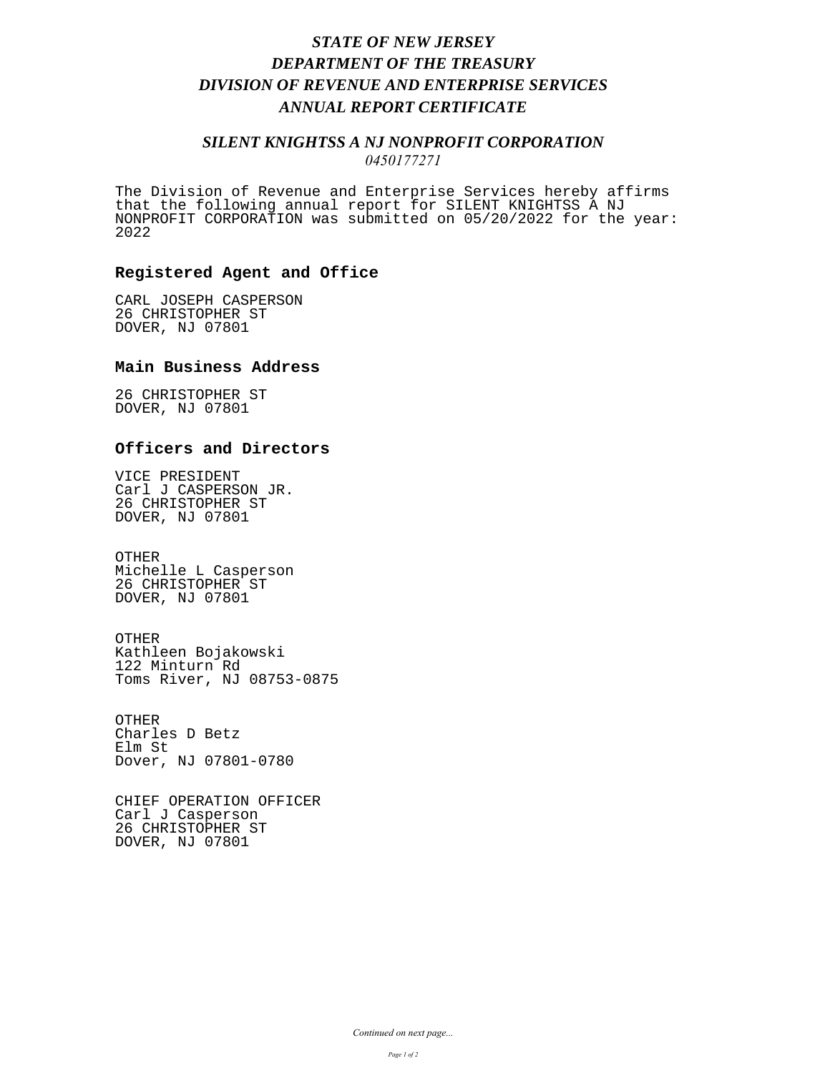## *STATE OF NEW JERSEY DEPARTMENT OF THE TREASURY DIVISION OF REVENUE AND ENTERPRISE SERVICES ANNUAL REPORT CERTIFICATE*

### *SILENT KNIGHTSS A NJ NONPROFIT CORPORATION 0450177271*

The Division of Revenue and Enterprise Services hereby affirms that the following annual report for SILENT KNIGHTSS A NJ NONPROFIT CORPORATION was submitted on 05/20/2022 for the year: 2022

#### **Registered Agent and Office**

CARL JOSEPH CASPERSON 26 CHRISTOPHER ST DOVER, NJ 07801

#### **Main Business Address**

26 CHRISTOPHER ST DOVER, NJ 07801

### **Officers and Directors**

VICE PRESIDENT Carl J CASPERSON JR. 26 CHRISTOPHER ST DOVER, NJ 07801

OTHER Michelle L Casperson 26 CHRISTOPHER ST DOVER, NJ 07801

OTHER Kathleen Bojakowski 122 Minturn Rd Toms River, NJ 08753-0875

OTHER Charles D Betz Elm St Dover, NJ 07801-0780

CHIEF OPERATION OFFICER Carl J Casperson 26 CHRISTOPHER ST DOVER, NJ 07801